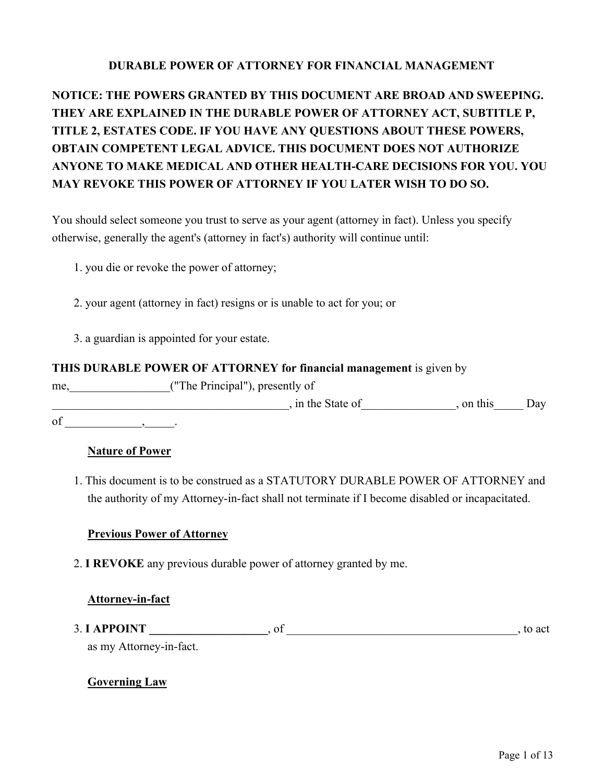### **DURABLE POWER OF ATTORNEY FOR FINANCIAL MANAGEMENT**

# **NOTICE: THE POWERS GRANTED BY THIS DOCUMENT ARE BROAD AND SWEEPING. THEY ARE EXPLAINED IN THE DURABLE POWER OF ATTORNEY ACT, SUBTITLE P, TITLE 2, ESTATES CODE. IF YOU HAVE ANY QUESTIONS ABOUT THESE POWERS, OBTAIN COMPETENT LEGAL ADVICE. THIS DOCUMENT DOES NOT AUTHORIZE ANYONE TO MAKE MEDICAL AND OTHER HEALTH-CARE DECISIONS FOR YOU. YOU MAY REVOKE THIS POWER OF ATTORNEY IF YOU LATER WISH TO DO SO.**

You should select someone you trust to serve as your agent (attorney in fact). Unless you specify otherwise, generally the agent's (attorney in fact's) authority will continue until:

- 1. you die or revoke the power of attorney;
- 2. your agent (attorney in fact) resigns or is unable to act for you; or
- 3. a guardian is appointed for your estate.

#### **THIS DURABLE POWER OF ATTORNEY for financial management** is given by

me,  $("The Principal"), presently of$ denotes the State of the State of the State of the State of  $\Box$ 

of  $\qquad \qquad , \qquad \qquad .$ 

#### **Nature of Power**

1. This document is to be construed as a STATUTORY DURABLE POWER OF ATTORNEY and the authority of my Attorney-in-fact shall not terminate if I become disabled or incapacitated.

#### **Previous Power of Attorney**

2. **I REVOKE** any previous durable power of attorney granted by me.

#### **Attorney-in-fact**

3. **I APPOINT \_\_\_\_\_\_\_\_\_\_\_\_\_\_\_\_\_\_\_\_**, of \_\_\_\_\_\_\_\_\_\_\_\_\_\_\_\_\_\_\_\_\_\_\_\_\_\_\_\_\_\_\_\_\_\_\_\_\_\_\_, to act as my Attorney-in-fact.

#### **Governing Law**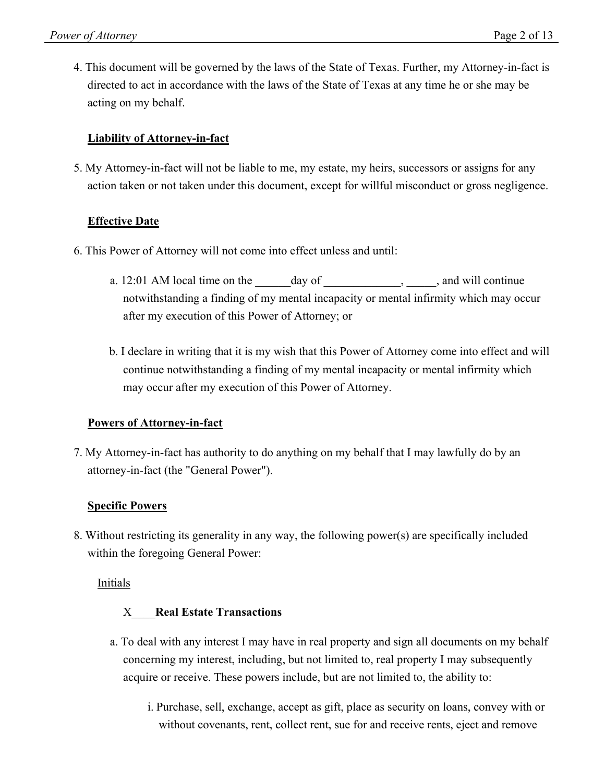4. This document will be governed by the laws of the State of Texas. Further, my Attorney-in-fact is directed to act in accordance with the laws of the State of Texas at any time he or she may be acting on my behalf.

### **Liability of Attorney-in-fact**

5. My Attorney-in-fact will not be liable to me, my estate, my heirs, successors or assigns for any action taken or not taken under this document, except for willful misconduct or gross negligence.

#### **Effective Date**

- 6. This Power of Attorney will not come into effect unless and until:
	- a.  $12:01$  AM local time on the day of , and will continue notwithstanding a finding of my mental incapacity or mental infirmity which may occur after my execution of this Power of Attorney; or
	- b. I declare in writing that it is my wish that this Power of Attorney come into effect and will continue notwithstanding a finding of my mental incapacity or mental infirmity which may occur after my execution of this Power of Attorney.

#### **Powers of Attorney-in-fact**

7. My Attorney-in-fact has authority to do anything on my behalf that I may lawfully do by an attorney-in-fact (the "General Power").

#### **Specific Powers**

8. Without restricting its generality in any way, the following power(s) are specifically included within the foregoing General Power:

#### Initials

#### X\_\_\_\_**Real Estate Transactions**

- a. To deal with any interest I may have in real property and sign all documents on my behalf concerning my interest, including, but not limited to, real property I may subsequently acquire or receive. These powers include, but are not limited to, the ability to:
	- i. Purchase, sell, exchange, accept as gift, place as security on loans, convey with or without covenants, rent, collect rent, sue for and receive rents, eject and remove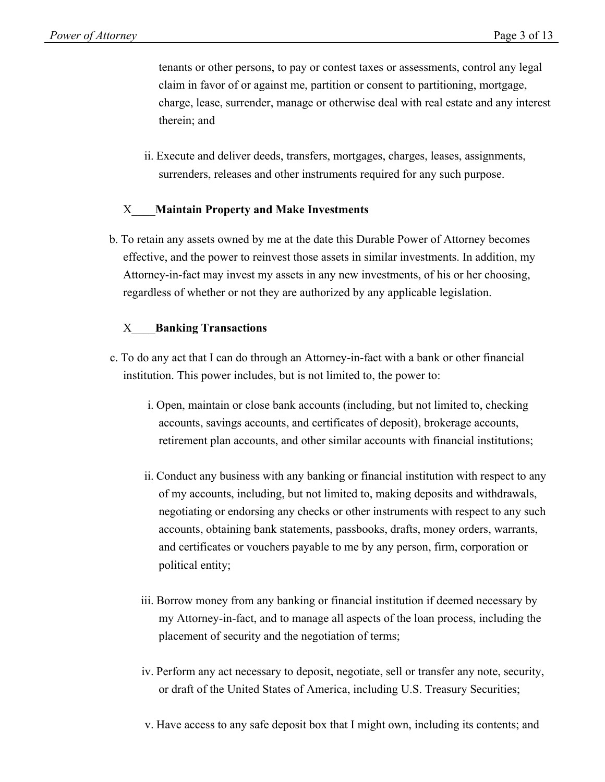tenants or other persons, to pay or contest taxes or assessments, control any legal claim in favor of or against me, partition or consent to partitioning, mortgage, charge, lease, surrender, manage or otherwise deal with real estate and any interest therein; and

ii. Execute and deliver deeds, transfers, mortgages, charges, leases, assignments, surrenders, releases and other instruments required for any such purpose.

#### X\_\_\_\_**Maintain Property and Make Investments**

b. To retain any assets owned by me at the date this Durable Power of Attorney becomes effective, and the power to reinvest those assets in similar investments. In addition, my Attorney-in-fact may invest my assets in any new investments, of his or her choosing, regardless of whether or not they are authorized by any applicable legislation.

#### X\_\_\_\_**Banking Transactions**

- c. To do any act that I can do through an Attorney-in-fact with a bank or other financial institution. This power includes, but is not limited to, the power to:
	- i. Open, maintain or close bank accounts (including, but not limited to, checking accounts, savings accounts, and certificates of deposit), brokerage accounts, retirement plan accounts, and other similar accounts with financial institutions;
	- ii. Conduct any business with any banking or financial institution with respect to any of my accounts, including, but not limited to, making deposits and withdrawals, negotiating or endorsing any checks or other instruments with respect to any such accounts, obtaining bank statements, passbooks, drafts, money orders, warrants, and certificates or vouchers payable to me by any person, firm, corporation or political entity;
	- iii. Borrow money from any banking or financial institution if deemed necessary by my Attorney-in-fact, and to manage all aspects of the loan process, including the placement of security and the negotiation of terms;
	- iv. Perform any act necessary to deposit, negotiate, sell or transfer any note, security, or draft of the United States of America, including U.S. Treasury Securities;
	- v. Have access to any safe deposit box that I might own, including its contents; and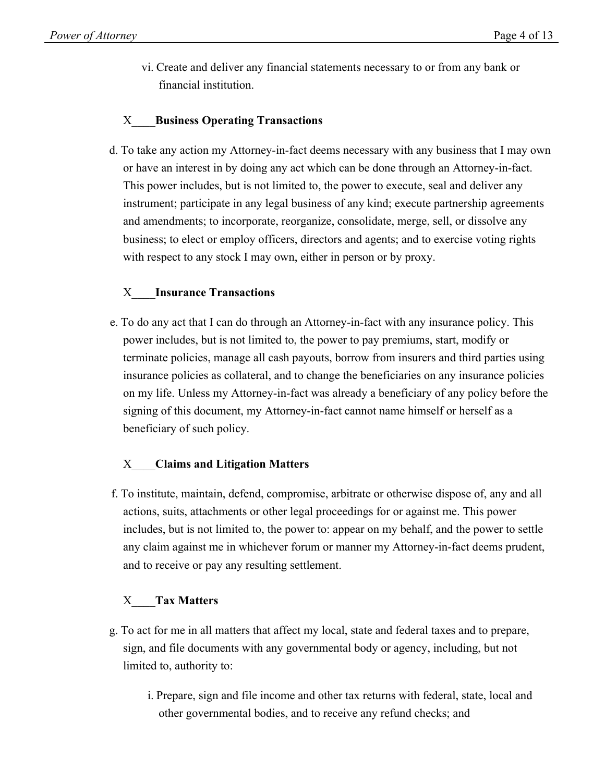vi. Create and deliver any financial statements necessary to or from any bank or financial institution.

# X\_\_\_\_**Business Operating Transactions**

d. To take any action my Attorney-in-fact deems necessary with any business that I may own or have an interest in by doing any act which can be done through an Attorney-in-fact. This power includes, but is not limited to, the power to execute, seal and deliver any instrument; participate in any legal business of any kind; execute partnership agreements and amendments; to incorporate, reorganize, consolidate, merge, sell, or dissolve any business; to elect or employ officers, directors and agents; and to exercise voting rights with respect to any stock I may own, either in person or by proxy.

### X\_\_\_\_**Insurance Transactions**

e. To do any act that I can do through an Attorney-in-fact with any insurance policy. This power includes, but is not limited to, the power to pay premiums, start, modify or terminate policies, manage all cash payouts, borrow from insurers and third parties using insurance policies as collateral, and to change the beneficiaries on any insurance policies on my life. Unless my Attorney-in-fact was already a beneficiary of any policy before the signing of this document, my Attorney-in-fact cannot name himself or herself as a beneficiary of such policy.

#### X\_\_\_\_**Claims and Litigation Matters**

f. To institute, maintain, defend, compromise, arbitrate or otherwise dispose of, any and all actions, suits, attachments or other legal proceedings for or against me. This power includes, but is not limited to, the power to: appear on my behalf, and the power to settle any claim against me in whichever forum or manner my Attorney-in-fact deems prudent, and to receive or pay any resulting settlement.

#### X\_\_\_\_**Tax Matters**

- g. To act for me in all matters that affect my local, state and federal taxes and to prepare, sign, and file documents with any governmental body or agency, including, but not limited to, authority to:
	- i. Prepare, sign and file income and other tax returns with federal, state, local and other governmental bodies, and to receive any refund checks; and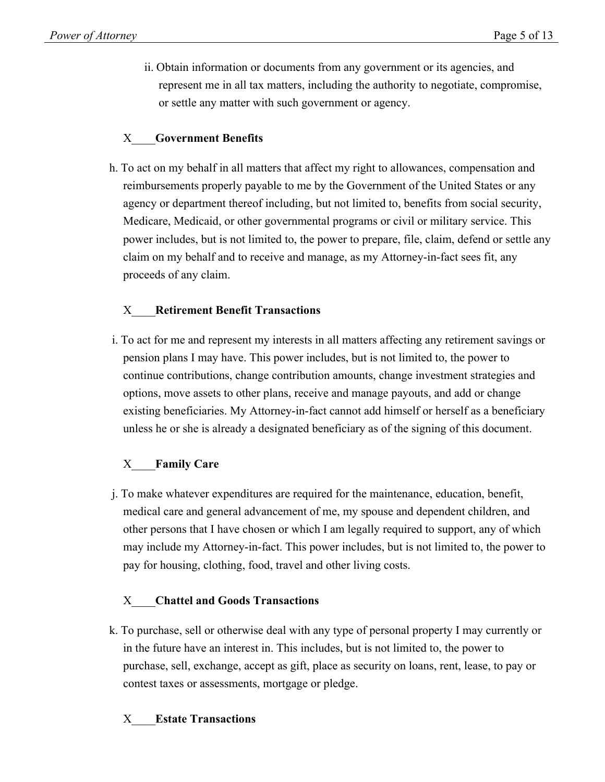ii. Obtain information or documents from any government or its agencies, and represent me in all tax matters, including the authority to negotiate, compromise, or settle any matter with such government or agency.

# X\_\_\_\_**Government Benefits**

h. To act on my behalf in all matters that affect my right to allowances, compensation and reimbursements properly payable to me by the Government of the United States or any agency or department thereof including, but not limited to, benefits from social security, Medicare, Medicaid, or other governmental programs or civil or military service. This power includes, but is not limited to, the power to prepare, file, claim, defend or settle any claim on my behalf and to receive and manage, as my Attorney-in-fact sees fit, any proceeds of any claim.

# X\_\_\_\_**Retirement Benefit Transactions**

i. To act for me and represent my interests in all matters affecting any retirement savings or pension plans I may have. This power includes, but is not limited to, the power to continue contributions, change contribution amounts, change investment strategies and options, move assets to other plans, receive and manage payouts, and add or change existing beneficiaries. My Attorney-in-fact cannot add himself or herself as a beneficiary unless he or she is already a designated beneficiary as of the signing of this document.

# X\_\_\_\_**Family Care**

j. To make whatever expenditures are required for the maintenance, education, benefit, medical care and general advancement of me, my spouse and dependent children, and other persons that I have chosen or which I am legally required to support, any of which may include my Attorney-in-fact. This power includes, but is not limited to, the power to pay for housing, clothing, food, travel and other living costs.

# X\_\_\_\_**Chattel and Goods Transactions**

k. To purchase, sell or otherwise deal with any type of personal property I may currently or in the future have an interest in. This includes, but is not limited to, the power to purchase, sell, exchange, accept as gift, place as security on loans, rent, lease, to pay or contest taxes or assessments, mortgage or pledge.

#### X\_\_\_\_**Estate Transactions**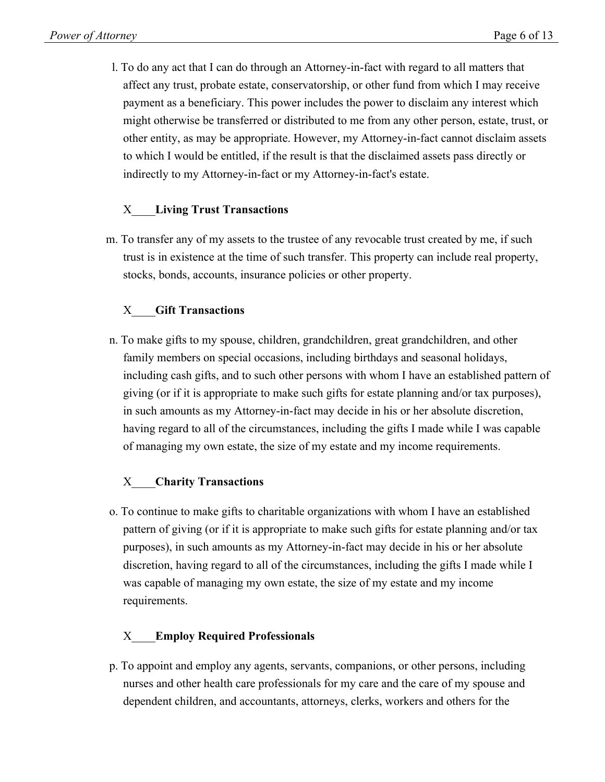l. To do any act that I can do through an Attorney-in-fact with regard to all matters that affect any trust, probate estate, conservatorship, or other fund from which I may receive payment as a beneficiary. This power includes the power to disclaim any interest which might otherwise be transferred or distributed to me from any other person, estate, trust, or other entity, as may be appropriate. However, my Attorney-in-fact cannot disclaim assets to which I would be entitled, if the result is that the disclaimed assets pass directly or indirectly to my Attorney-in-fact or my Attorney-in-fact's estate.

### X\_\_\_\_**Living Trust Transactions**

m. To transfer any of my assets to the trustee of any revocable trust created by me, if such trust is in existence at the time of such transfer. This property can include real property, stocks, bonds, accounts, insurance policies or other property.

# X\_\_\_\_**Gift Transactions**

n. To make gifts to my spouse, children, grandchildren, great grandchildren, and other family members on special occasions, including birthdays and seasonal holidays, including cash gifts, and to such other persons with whom I have an established pattern of giving (or if it is appropriate to make such gifts for estate planning and/or tax purposes), in such amounts as my Attorney-in-fact may decide in his or her absolute discretion, having regard to all of the circumstances, including the gifts I made while I was capable of managing my own estate, the size of my estate and my income requirements.

#### X\_\_\_\_**Charity Transactions**

o. To continue to make gifts to charitable organizations with whom I have an established pattern of giving (or if it is appropriate to make such gifts for estate planning and/or tax purposes), in such amounts as my Attorney-in-fact may decide in his or her absolute discretion, having regard to all of the circumstances, including the gifts I made while I was capable of managing my own estate, the size of my estate and my income requirements.

#### X\_\_\_\_**Employ Required Professionals**

p. To appoint and employ any agents, servants, companions, or other persons, including nurses and other health care professionals for my care and the care of my spouse and dependent children, and accountants, attorneys, clerks, workers and others for the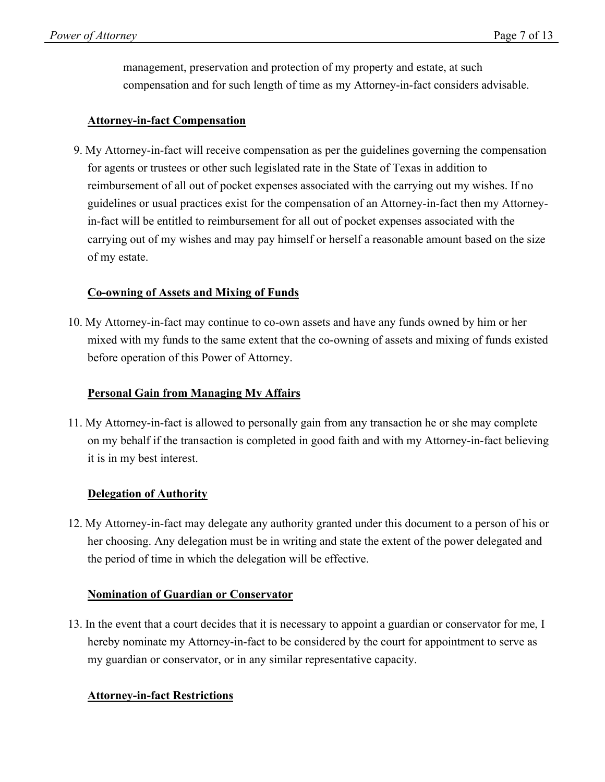management, preservation and protection of my property and estate, at such compensation and for such length of time as my Attorney-in-fact considers advisable.

#### **Attorney-in-fact Compensation**

9. My Attorney-in-fact will receive compensation as per the guidelines governing the compensation for agents or trustees or other such legislated rate in the State of Texas in addition to reimbursement of all out of pocket expenses associated with the carrying out my wishes. If no guidelines or usual practices exist for the compensation of an Attorney-in-fact then my Attorneyin-fact will be entitled to reimbursement for all out of pocket expenses associated with the carrying out of my wishes and may pay himself or herself a reasonable amount based on the size of my estate.

### **Co-owning of Assets and Mixing of Funds**

10. My Attorney-in-fact may continue to co-own assets and have any funds owned by him or her mixed with my funds to the same extent that the co-owning of assets and mixing of funds existed before operation of this Power of Attorney.

#### **Personal Gain from Managing My Affairs**

11. My Attorney-in-fact is allowed to personally gain from any transaction he or she may complete on my behalf if the transaction is completed in good faith and with my Attorney-in-fact believing it is in my best interest.

#### **Delegation of Authority**

12. My Attorney-in-fact may delegate any authority granted under this document to a person of his or her choosing. Any delegation must be in writing and state the extent of the power delegated and the period of time in which the delegation will be effective.

#### **Nomination of Guardian or Conservator**

13. In the event that a court decides that it is necessary to appoint a guardian or conservator for me, I hereby nominate my Attorney-in-fact to be considered by the court for appointment to serve as my guardian or conservator, or in any similar representative capacity.

#### **Attorney-in-fact Restrictions**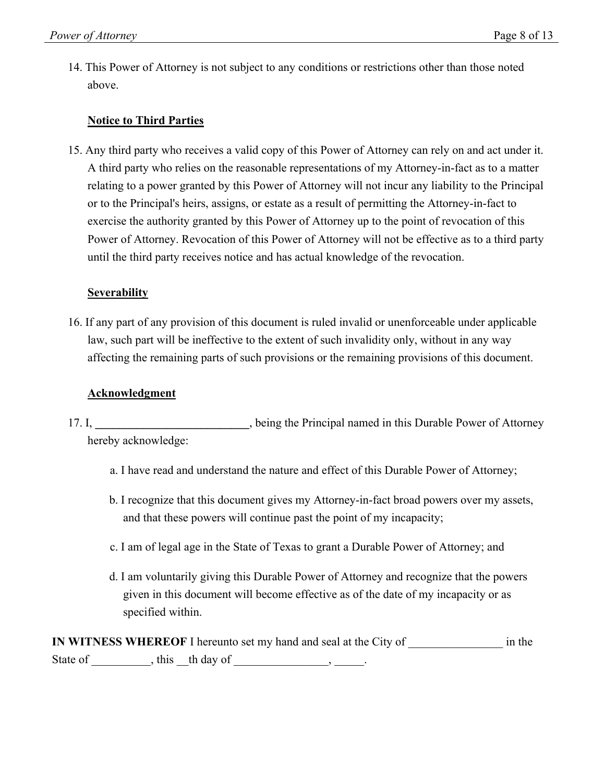14. This Power of Attorney is not subject to any conditions or restrictions other than those noted above.

### **Notice to Third Parties**

15. Any third party who receives a valid copy of this Power of Attorney can rely on and act under it. A third party who relies on the reasonable representations of my Attorney-in-fact as to a matter relating to a power granted by this Power of Attorney will not incur any liability to the Principal or to the Principal's heirs, assigns, or estate as a result of permitting the Attorney-in-fact to exercise the authority granted by this Power of Attorney up to the point of revocation of this Power of Attorney. Revocation of this Power of Attorney will not be effective as to a third party until the third party receives notice and has actual knowledge of the revocation.

### **Severability**

16. If any part of any provision of this document is ruled invalid or unenforceable under applicable law, such part will be ineffective to the extent of such invalidity only, without in any way affecting the remaining parts of such provisions or the remaining provisions of this document.

#### **Acknowledgment**

- 17. I, **\_\_\_\_\_\_\_\_\_\_\_\_\_\_\_\_\_\_\_\_\_\_\_\_\_\_**, being the Principal named in this Durable Power of Attorney hereby acknowledge:
	- a. I have read and understand the nature and effect of this Durable Power of Attorney;
	- b. I recognize that this document gives my Attorney-in-fact broad powers over my assets, and that these powers will continue past the point of my incapacity;
	- c. I am of legal age in the State of Texas to grant a Durable Power of Attorney; and
	- d. I am voluntarily giving this Durable Power of Attorney and recognize that the powers given in this document will become effective as of the date of my incapacity or as specified within.

|          |                   | IN WITNESS WHEREOF I hereunto set my hand and seal at the City of | in the |
|----------|-------------------|-------------------------------------------------------------------|--------|
| State of | , this the day of |                                                                   |        |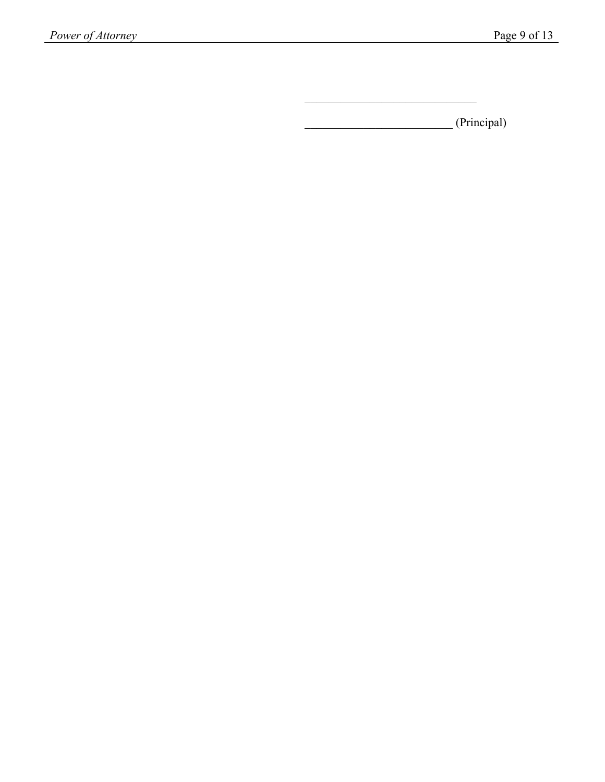\_\_\_\_\_\_\_\_\_\_\_\_\_\_\_\_\_\_\_\_\_\_\_\_\_ (Principal)

 $\mathcal{L}_\text{max}$  and  $\mathcal{L}_\text{max}$  and  $\mathcal{L}_\text{max}$  and  $\mathcal{L}_\text{max}$  and  $\mathcal{L}_\text{max}$  and  $\mathcal{L}_\text{max}$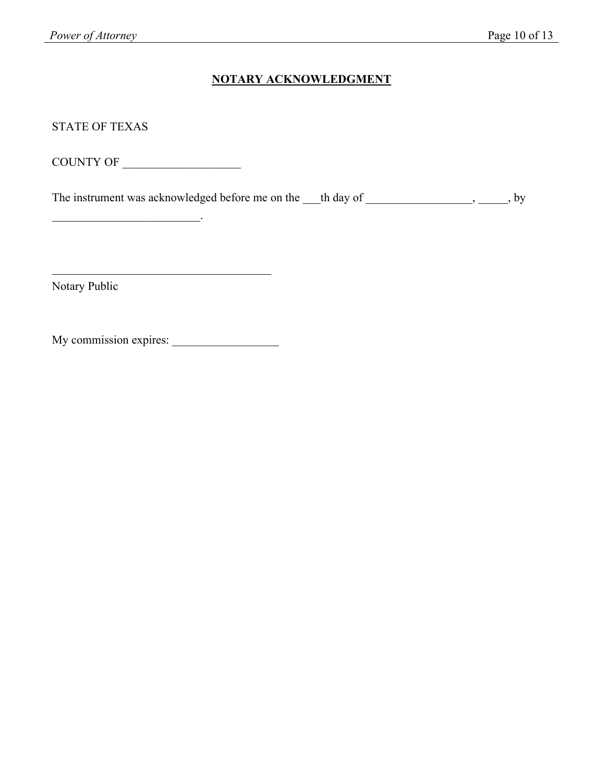### **NOTARY ACKNOWLEDGMENT**

STATE OF TEXAS

COUNTY OF \_\_\_\_\_\_\_\_\_\_\_\_\_\_\_\_\_\_\_\_

\_\_\_\_\_\_\_\_\_\_\_\_\_\_\_\_\_\_\_\_\_\_\_\_\_.

The instrument was acknowledged before me on the \_\_\_th day of \_\_\_\_\_\_\_\_\_\_\_\_\_\_\_\_, \_\_\_\_\_, by

Notary Public

My commission expires: \_\_\_\_\_\_\_\_\_\_\_\_\_\_\_\_\_\_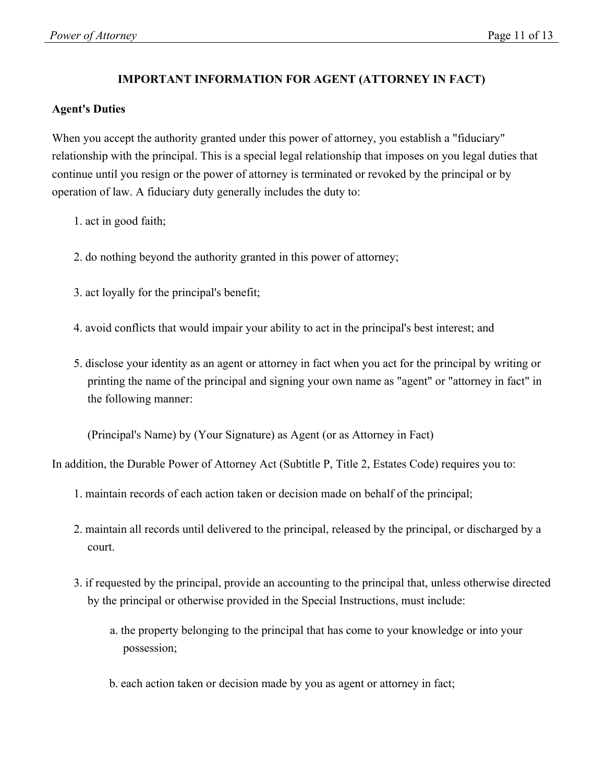### **IMPORTANT INFORMATION FOR AGENT (ATTORNEY IN FACT)**

#### **Agent's Duties**

When you accept the authority granted under this power of attorney, you establish a "fiduciary" relationship with the principal. This is a special legal relationship that imposes on you legal duties that continue until you resign or the power of attorney is terminated or revoked by the principal or by operation of law. A fiduciary duty generally includes the duty to:

- 1. act in good faith;
- 2. do nothing beyond the authority granted in this power of attorney;
- 3. act loyally for the principal's benefit;
- 4. avoid conflicts that would impair your ability to act in the principal's best interest; and
- 5. disclose your identity as an agent or attorney in fact when you act for the principal by writing or printing the name of the principal and signing your own name as "agent" or "attorney in fact" in the following manner:

(Principal's Name) by (Your Signature) as Agent (or as Attorney in Fact)

In addition, the Durable Power of Attorney Act (Subtitle P, Title 2, Estates Code) requires you to:

- 1. maintain records of each action taken or decision made on behalf of the principal;
- 2. maintain all records until delivered to the principal, released by the principal, or discharged by a court.
- 3. if requested by the principal, provide an accounting to the principal that, unless otherwise directed by the principal or otherwise provided in the Special Instructions, must include:
	- a. the property belonging to the principal that has come to your knowledge or into your possession;
	- b. each action taken or decision made by you as agent or attorney in fact;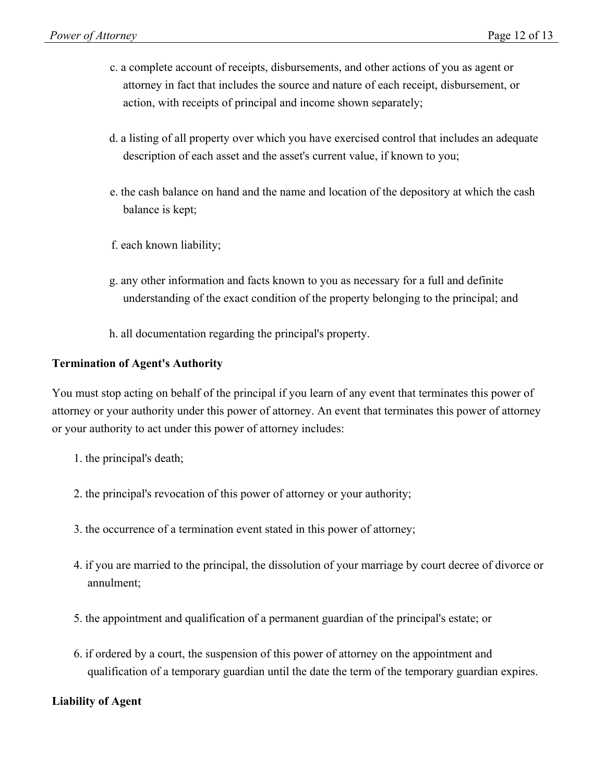- c. a complete account of receipts, disbursements, and other actions of you as agent or attorney in fact that includes the source and nature of each receipt, disbursement, or action, with receipts of principal and income shown separately;
- d. a listing of all property over which you have exercised control that includes an adequate description of each asset and the asset's current value, if known to you;
- e. the cash balance on hand and the name and location of the depository at which the cash balance is kept;
- f. each known liability;
- g. any other information and facts known to you as necessary for a full and definite understanding of the exact condition of the property belonging to the principal; and
- h. all documentation regarding the principal's property.

#### **Termination of Agent's Authority**

You must stop acting on behalf of the principal if you learn of any event that terminates this power of attorney or your authority under this power of attorney. An event that terminates this power of attorney or your authority to act under this power of attorney includes:

- 1. the principal's death;
- 2. the principal's revocation of this power of attorney or your authority;
- 3. the occurrence of a termination event stated in this power of attorney;
- 4. if you are married to the principal, the dissolution of your marriage by court decree of divorce or annulment;
- 5. the appointment and qualification of a permanent guardian of the principal's estate; or
- 6. if ordered by a court, the suspension of this power of attorney on the appointment and qualification of a temporary guardian until the date the term of the temporary guardian expires.

#### **Liability of Agent**